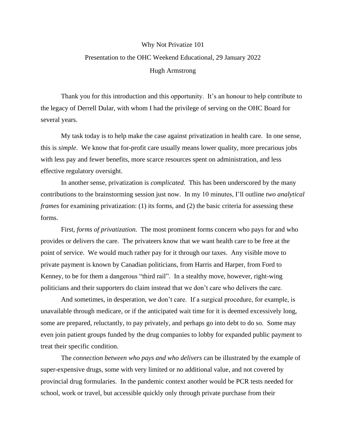## Why Not Privatize 101 Presentation to the OHC Weekend Educational, 29 January 2022 Hugh Armstrong

Thank you for this introduction and this opportunity. It's an honour to help contribute to the legacy of Derrell Dular, with whom I had the privilege of serving on the OHC Board for several years.

My task today is to help make the case against privatization in health care. In one sense, this is *simple*. We know that for-profit care usually means lower quality, more precarious jobs with less pay and fewer benefits, more scarce resources spent on administration, and less effective regulatory oversight.

In another sense, privatization is *complicated.* This has been underscored by the many contributions to the brainstorming session just now. In my 10 minutes, I'll outline *two analytical frames* for examining privatization: (1) its forms, and (2) the basic criteria for assessing these forms.

First, *forms of privatization.* The most prominent forms concern who pays for and who provides or delivers the care. The privateers know that we want health care to be free at the point of service. We would much rather pay for it through our taxes. Any visible move to private payment is known by Canadian politicians, from Harris and Harper, from Ford to Kenney, to be for them a dangerous "third rail". In a stealthy move, however, right-wing politicians and their supporters do claim instead that we don't care who delivers the care.

And sometimes, in desperation, we don't care. If a surgical procedure, for example, is unavailable through medicare, or if the anticipated wait time for it is deemed excessively long, some are prepared, reluctantly, to pay privately, and perhaps go into debt to do so. Some may even join patient groups funded by the drug companies to lobby for expanded public payment to treat their specific condition.

The *connection between who pays and who delivers* can be illustrated by the example of super-expensive drugs, some with very limited or no additional value, and not covered by provincial drug formularies. In the pandemic context another would be PCR tests needed for school, work or travel, but accessible quickly only through private purchase from their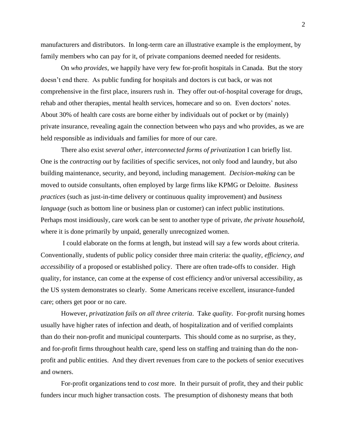manufacturers and distributors. In long-term care an illustrative example is the employment, by family members who can pay for it, of private companions deemed needed for residents.

On *who provides*, we happily have very few for-profit hospitals in Canada. But the story doesn't end there. As public funding for hospitals and doctors is cut back, or was not comprehensive in the first place, insurers rush in. They offer out-of-hospital coverage for drugs, rehab and other therapies, mental health services, homecare and so on. Even doctors' notes. About 30% of health care costs are borne either by individuals out of pocket or by (mainly) private insurance, revealing again the connection between who pays and who provides, as we are held responsible as individuals and families for more of our care.

There also exist *several other, interconnected forms of privatization* I can briefly list. One is the *contracting out* by facilities of specific services, not only food and laundry, but also building maintenance, security, and beyond, including management. *Decision-making* can be moved to outside consultants, often employed by large firms like KPMG or Deloitte. *Business practices* (such as just-in-time delivery or continuous quality improvement) and *business language* (such as bottom line or business plan or customer) can infect public institutions. Perhaps most insidiously, care work can be sent to another type of private, *the private household*, where it is done primarily by unpaid, generally unrecognized women.

I could elaborate on the forms at length, but instead will say a few words about criteria. Conventionally, students of public policy consider three main criteria: the *quality, efficiency, and accessibility* of a proposed or established policy. There are often trade-offs to consider. High quality, for instance, can come at the expense of cost efficiency and/or universal accessibility, as the US system demonstrates so clearly. Some Americans receive excellent, insurance-funded care; others get poor or no care.

However, *privatization fails on all three criteria*. Take *quality*. For-profit nursing homes usually have higher rates of infection and death, of hospitalization and of verified complaints than do their non-profit and municipal counterparts. This should come as no surprise, as they, and for-profit firms throughout health care, spend less on staffing and training than do the nonprofit and public entities. And they divert revenues from care to the pockets of senior executives and owners.

For-profit organizations tend to *cost* more. In their pursuit of profit, they and their public funders incur much higher transaction costs. The presumption of dishonesty means that both